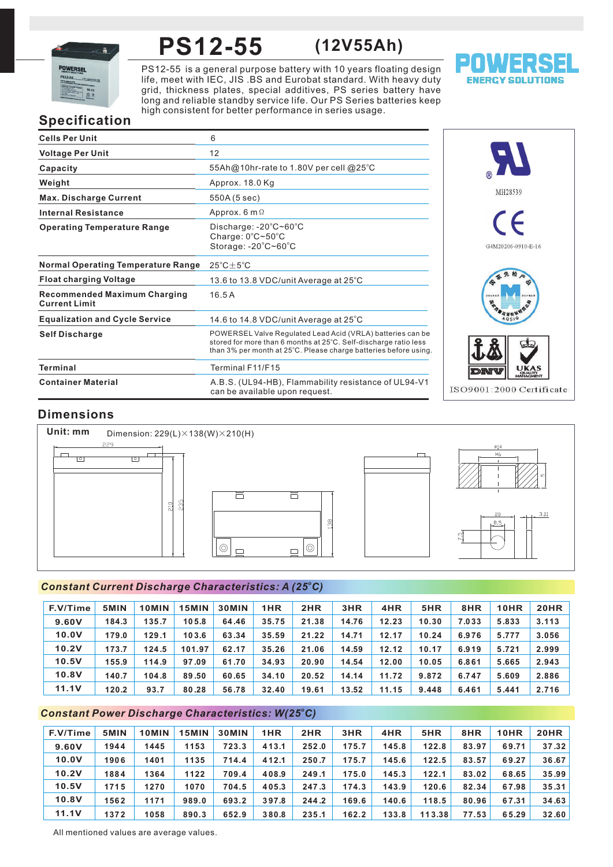

## **PS12-55 (12V55Ah)**

PS12-55 is a general purpose battery with 10 years floating design life, meet with IEC, JIS .BS and Eurobat standard. With heavy duty grid, thickness plates, special additives, PS series battery have long and reliable standby service life. Our PS Series batteries keep high consistent for better performance in series usage.



# **Specification**

| <b>Cells Per Unit</b>                                       | 6                                                                                                                                                                                                  |
|-------------------------------------------------------------|----------------------------------------------------------------------------------------------------------------------------------------------------------------------------------------------------|
| <b>Voltage Per Unit</b>                                     | 12                                                                                                                                                                                                 |
| Capacity                                                    | 55Ah@10hr-rate to 1.80V per cell @25°C                                                                                                                                                             |
| Weight                                                      | Approx. 18.0 Kg                                                                                                                                                                                    |
| <b>Max. Discharge Current</b>                               | 550A (5 sec)                                                                                                                                                                                       |
| <b>Internal Resistance</b>                                  | Approx. $6 \text{ m } \Omega$                                                                                                                                                                      |
| <b>Operating Temperature Range</b>                          | Discharge: $-20^{\circ}$ C $\sim$ 60 $^{\circ}$ C<br>Charge: 0°C~50°C<br>Storage: -20°C~60°C                                                                                                       |
| <b>Normal Operating Temperature Range</b>                   | $25^{\circ}$ C $\pm$ 5 $^{\circ}$ C                                                                                                                                                                |
| <b>Float charging Voltage</b>                               | 13.6 to 13.8 VDC/unit Average at 25°C                                                                                                                                                              |
| <b>Recommended Maximum Charging</b><br><b>Current Limit</b> | 16.5A                                                                                                                                                                                              |
| <b>Equalization and Cycle Service</b>                       | 14.6 to 14.8 VDC/unit Average at $25^{\circ}$ C                                                                                                                                                    |
| <b>Self Discharge</b>                                       | POWERSEL Valve Regulated Lead Acid (VRLA) batteries can be<br>stored for more than 6 months at 25°C. Self-discharge ratio less<br>than 3% per month at 25°C. Please charge batteries before using. |
| <b>Terminal</b>                                             | Terminal F11/F15                                                                                                                                                                                   |
| <b>Container Material</b>                                   | A.B.S. (UL94-HB), Flammability resistance of UL94-V1<br>can be available upon request.                                                                                                             |



# **Dimensions**



# *<sup>o</sup> Constant Current Discharge Characteristics: A (25 C)*

| F.V/Time | 5MIN  | 10MIN | 15MIN  | <b>30MIN</b> | 1HR   | 2HR   | 3HR   | 4HR   | 5HR   | 8HR   | 10HR  | 20HR  |
|----------|-------|-------|--------|--------------|-------|-------|-------|-------|-------|-------|-------|-------|
| 9.60V    | 184.3 | 135.7 | 105.8  | 64.46        | 35.75 | 21.38 | 14.76 | 12.23 | 10.30 | 7.033 | 5.833 | 3.113 |
| 10.0V    | 179.0 | 129.1 | 103.6  | 63.34        | 35.59 | 21.22 | 14.71 | 12.17 | 10.24 | 6.976 | 5.777 | 3.056 |
| 10.2V    | 173.7 | 124.5 | 101.97 | 62.17        | 35.26 | 21.06 | 14.59 | 12.12 | 10.17 | 6.919 | 5.721 | 2.999 |
| 10.5V    | 155.9 | 114.9 | 97.09  | 61.70        | 34.93 | 20.90 | 14.54 | 12.00 | 10.05 | 6.861 | 5.665 | 2.943 |
| 10.8V    | 140.7 | 104.8 | 89.50  | 60.65        | 34.10 | 20.52 | 14.14 | 11.72 | 9.872 | 6.747 | 5.609 | 2.886 |
| 11.1V    | 120.2 | 93.7  | 80.28  | 56.78        | 32.40 | 19.61 | 13.52 | 11.15 | 9.448 | 6.461 | 5.441 | 2.716 |

# *<sup>o</sup> Constant Power Discharge Characteristics: W(25 C)*

| F.V/Time     | 5MIN | 10MIN | 15MIN | <b>30MIN</b> | 1HR   | 2HR   | 3HR   | 4HR   | 5HR    | 8HR   | 10HR  | <b>20HR</b> |
|--------------|------|-------|-------|--------------|-------|-------|-------|-------|--------|-------|-------|-------------|
| 9.60V        | 1944 | 1445  | 1153  | 723.3        | 413.1 | 252.0 | 175.7 | 145.8 | 122.8  | 83.97 | 69.71 | 37.32       |
| 10.0V        | 1906 | 1401  | 1135  | 714.4        | 412.1 | 250.7 | 175.7 | 145.6 | 122.5  | 83.57 | 69.27 | 36.67       |
| 10.2V        | 1884 | 1364  | 1122  | 709.4        | 408.9 | 249.1 | 175.0 | 145.3 | 122.1  | 83.02 | 68.65 | 35.99       |
| 10.5V        | 1715 | 1270  | 1070  | 704.5        | 405.3 | 247.3 | 174.3 | 143.9 | 120.6  | 82.34 | 67.98 | 35.31       |
| <b>10.8V</b> | 1562 | 1171  | 989.0 | 693.2        | 397.8 | 244.2 | 169.6 | 140.6 | 118.5  | 80.96 | 67.31 | 34.63       |
| 11.1V        | 1372 | 1058  | 890.3 | 652.9        | 380.8 | 235.1 | 162.2 | 133.8 | 113.38 | 77.53 | 65.29 | 32.60       |

All mentioned values are average values.